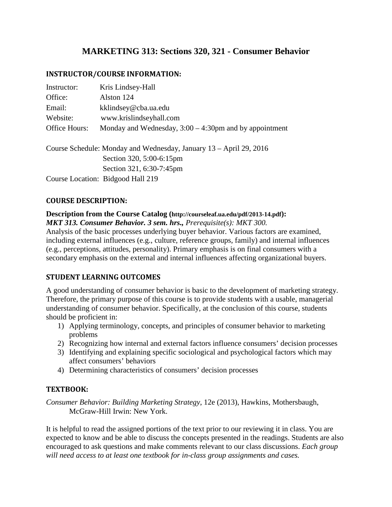# **MARKETING 313: Sections 320, 321 - Consumer Behavior**

### **INSTRUCTOR/COURSE INFORMATION:**

| Instructor:   | Kris Lindsey-Hall                                                  |
|---------------|--------------------------------------------------------------------|
| Office:       | Alston 124                                                         |
| Email:        | kklindsey@cba.ua.edu                                               |
| Website:      | www.krislindseyhall.com                                            |
| Office Hours: | Monday and Wednesday, $3:00 - 4:30$ pm and by appointment          |
|               | Course Schedule: Monday and Wednesday, January 13 – April 29, 2016 |
|               | Section 320, 5:00-6:15pm                                           |
|               | Section 321, 6:30-7:45pm                                           |
|               | Course Location: Bidgood Hall 219                                  |

### **COURSE DESCRIPTION:**

#### **Description from the Course Catalog (http://courseleaf.ua.edu/pdf/2013-14.pdf):** *MKT 313. Consumer Behavior. 3 sem. hrs., Prerequisite(s): MKT 300.*

Analysis of the basic processes underlying buyer behavior. Various factors are examined, including external influences (e.g., culture, reference groups, family) and internal influences (e.g., perceptions, attitudes, personality). Primary emphasis is on final consumers with a secondary emphasis on the external and internal influences affecting organizational buyers.

### **STUDENT LEARNING OUTCOMES**

A good understanding of consumer behavior is basic to the development of marketing strategy. Therefore, the primary purpose of this course is to provide students with a usable, managerial understanding of consumer behavior. Specifically, at the conclusion of this course, students should be proficient in:

- 1) Applying terminology, concepts, and principles of consumer behavior to marketing problems
- 2) Recognizing how internal and external factors influence consumers' decision processes
- 3) Identifying and explaining specific sociological and psychological factors which may affect consumers' behaviors
- 4) Determining characteristics of consumers' decision processes

### **TEXTBOOK:**

*Consumer Behavior: Building Marketing Strategy*, 12e (2013), Hawkins, Mothersbaugh, McGraw-Hill Irwin: New York.

It is helpful to read the assigned portions of the text prior to our reviewing it in class. You are expected to know and be able to discuss the concepts presented in the readings. Students are also encouraged to ask questions and make comments relevant to our class discussions. *Each group will need access to at least one textbook for in-class group assignments and cases.*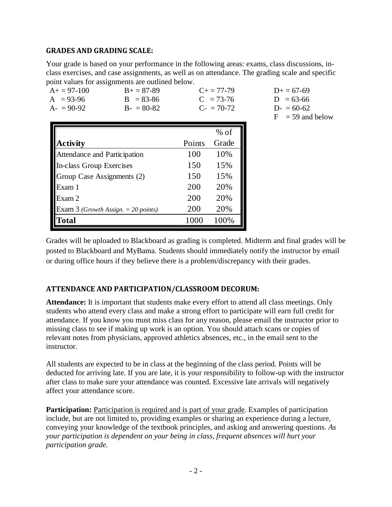### **GRADES AND GRADING SCALE:**

Your grade is based on your performance in the following areas: exams, class discussions, inclass exercises, and case assignments, as well as on attendance. The grading scale and specific point values for assignments are outlined below.

| $A+=97-100$<br>$A = 93-96$<br>$A = 90-92$ | $B+=87-89$<br>$B = 83 - 86$<br>$B - 80-82$ |        | $C_{\pm} = 77 - 79$<br>$C = 73-76$<br>$C = 70-72$ |
|-------------------------------------------|--------------------------------------------|--------|---------------------------------------------------|
|                                           |                                            |        | $%$ of                                            |
| <b>Activity</b>                           |                                            | Points | Grade                                             |
| Attendance and Participation              |                                            | 100    | 10%                                               |
| <b>In-class Group Exercises</b>           |                                            | 150    | 15%                                               |
| Group Case Assignments (2)                |                                            | 150    | 15%                                               |
| Exam 1                                    |                                            | 200    | 20%                                               |
| Exam 2                                    |                                            | 200    | 20%                                               |
| Exam 3 (Growth Assign. $=$ 20 points)     |                                            | 200    | 20%                                               |
| Total                                     |                                            | 1000   | 100%                                              |

 $D+ = 67-69$  $D = 63-66$  $D- = 60-62$  $F = 59$  and below

Grades will be uploaded to Blackboard as grading is completed. Midterm and final grades will be posted to Blackboard and MyBama. Students should immediately notify the instructor by email or during office hours if they believe there is a problem/discrepancy with their grades.

# **ATTENDANCE AND PARTICIPATION/CLASSROOM DECORUM:**

**Attendance:** It is important that students make every effort to attend all class meetings. Only students who attend every class and make a strong effort to participate will earn full credit for attendance. If you know you must miss class for any reason, please email the instructor prior to missing class to see if making up work is an option. You should attach scans or copies of relevant notes from physicians, approved athletics absences, etc., in the email sent to the instructor.

All students are expected to be in class at the beginning of the class period. Points will be deducted for arriving late. If you are late, it is your responsibility to follow-up with the instructor after class to make sure your attendance was counted. Excessive late arrivals will negatively affect your attendance score.

**Participation:** Participation is required and is part of your grade. Examples of participation include, but are not limited to, providing examples or sharing an experience during a lecture, conveying your knowledge of the textbook principles, and asking and answering questions. *As your participation is dependent on your being in class, frequent absences will hurt your participation grade.*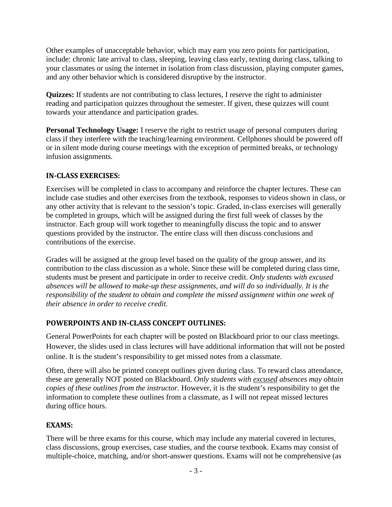Other examples of unacceptable behavior, which may earn you zero points for participation, include: chronic late arrival to class, sleeping, leaving class early, texting during class, talking to your classmates or using the internet in isolation from class discussion, playing computer games, and any other behavior which is considered disruptive by the instructor.

**Quizzes:** If students are not contributing to class lectures, I reserve the right to administer reading and participation quizzes throughout the semester. If given, these quizzes will count towards your attendance and participation grades.

**Personal Technology Usage:** I reserve the right to restrict usage of personal computers during class if they interfere with the teaching/learning environment. Cellphones should be powered off or in silent mode during course meetings with the exception of permitted breaks, or technology infusion assignments.

## **IN-CLASS EXERCISES:**

Exercises will be completed in class to accompany and reinforce the chapter lectures. These can include case studies and other exercises from the textbook, responses to videos shown in class, or any other activity that is relevant to the session's topic. Graded, in-class exercises will generally be completed in groups, which will be assigned during the first full week of classes by the instructor. Each group will work together to meaningfully discuss the topic and to answer questions provided by the instructor. The entire class will then discuss conclusions and contributions of the exercise.

Grades will be assigned at the group level based on the quality of the group answer, and its contribution to the class discussion as a whole. Since these will be completed during class time, students must be present and participate in order to receive credit. *Only students with excused absences will be allowed to make-up these assignments, and will do so individually. It is the responsibility of the student to obtain and complete the missed assignment within one week of their absence in order to receive credit.* 

# **POWERPOINTS AND IN-CLASS CONCEPT OUTLINES:**

General PowerPoints for each chapter will be posted on Blackboard prior to our class meetings. However, the slides used in class lectures will have additional information that will not be posted online. It is the student's responsibility to get missed notes from a classmate.

Often, there will also be printed concept outlines given during class. To reward class attendance, these are generally NOT posted on Blackboard. *Only students with excused absences may obtain copies of these outlines from the instructor.* However, it is the student's responsibility to get the information to complete these outlines from a classmate, as I will not repeat missed lectures during office hours.

### **EXAMS:**

There will be three exams for this course, which may include any material covered in lectures, class discussions, group exercises, case studies, and the course textbook. Exams may consist of multiple-choice, matching, and/or short-answer questions. Exams will not be comprehensive (as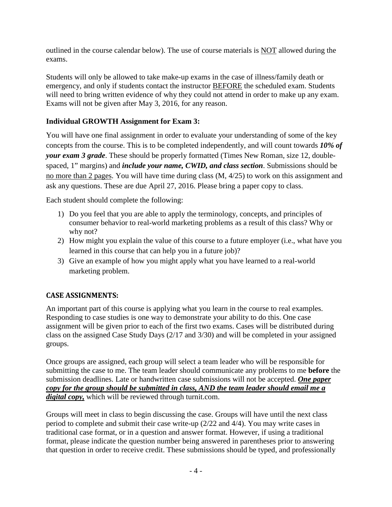outlined in the course calendar below). The use of course materials is NOT allowed during the exams.

Students will only be allowed to take make-up exams in the case of illness/family death or emergency, and only if students contact the instructor BEFORE the scheduled exam. Students will need to bring written evidence of why they could not attend in order to make up any exam. Exams will not be given after May 3, 2016, for any reason.

# **Individual GROWTH Assignment for Exam 3:**

You will have one final assignment in order to evaluate your understanding of some of the key concepts from the course. This is to be completed independently, and will count towards *10% of your exam 3 grade*. These should be properly formatted (Times New Roman, size 12, doublespaced, 1" margins) and *include your name, CWID, and class section*. Submissions should be no more than 2 pages. You will have time during class (M, 4/25) to work on this assignment and ask any questions. These are due April 27, 2016. Please bring a paper copy to class.

Each student should complete the following:

- 1) Do you feel that you are able to apply the terminology, concepts, and principles of consumer behavior to real-world marketing problems as a result of this class? Why or why not?
- 2) How might you explain the value of this course to a future employer (i.e., what have you learned in this course that can help you in a future job)?
- 3) Give an example of how you might apply what you have learned to a real-world marketing problem.

# **CASE ASSIGNMENTS:**

An important part of this course is applying what you learn in the course to real examples. Responding to case studies is one way to demonstrate your ability to do this. One case assignment will be given prior to each of the first two exams. Cases will be distributed during class on the assigned Case Study Days (2/17 and 3/30) and will be completed in your assigned groups.

Once groups are assigned, each group will select a team leader who will be responsible for submitting the case to me. The team leader should communicate any problems to me **before** the submission deadlines. Late or handwritten case submissions will not be accepted. *One paper copy for the group should be submitted in class, AND the team leader should email me a digital copy,* which will be reviewed through turnit.com.

Groups will meet in class to begin discussing the case. Groups will have until the next class period to complete and submit their case write-up (2/22 and 4/4). You may write cases in traditional case format, or in a question and answer format. However, if using a traditional format, please indicate the question number being answered in parentheses prior to answering that question in order to receive credit. These submissions should be typed, and professionally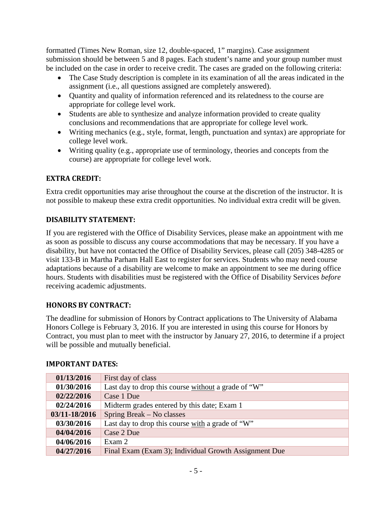formatted (Times New Roman, size 12, double-spaced, 1" margins). Case assignment submission should be between 5 and 8 pages. Each student's name and your group number must be included on the case in order to receive credit. The cases are graded on the following criteria:

- The Case Study description is complete in its examination of all the areas indicated in the assignment (i.e., all questions assigned are completely answered).
- Quantity and quality of information referenced and its relatedness to the course are appropriate for college level work.
- Students are able to synthesize and analyze information provided to create quality conclusions and recommendations that are appropriate for college level work.
- Writing mechanics (e.g., style, format, length, punctuation and syntax) are appropriate for college level work.
- Writing quality (e.g., appropriate use of terminology, theories and concepts from the course) are appropriate for college level work.

# **EXTRA CREDIT:**

Extra credit opportunities may arise throughout the course at the discretion of the instructor. It is not possible to makeup these extra credit opportunities. No individual extra credit will be given.

# **DISABILITY STATEMENT:**

If you are registered with the Office of Disability Services, please make an appointment with me as soon as possible to discuss any course accommodations that may be necessary. If you have a disability, but have not contacted the Office of Disability Services, please call (205) 348-4285 or visit 133-B in Martha Parham Hall East to register for services. Students who may need course adaptations because of a disability are welcome to make an appointment to see me during office hours. Students with disabilities must be registered with the Office of Disability Services *before* receiving academic adjustments.

### **HONORS BY CONTRACT:**

The deadline for submission of Honors by Contract applications to The University of Alabama Honors College is February 3, 2016. If you are interested in using this course for Honors by Contract, you must plan to meet with the instructor by January 27, 2016, to determine if a project will be possible and mutually beneficial.

| 01/13/2016    | First day of class                                    |  |
|---------------|-------------------------------------------------------|--|
| 01/30/2016    | Last day to drop this course without a grade of "W"   |  |
| 02/22/2016    | Case 1 Due                                            |  |
| 02/24/2016    | Midterm grades entered by this date; Exam 1           |  |
| 03/11-18/2016 | Spring Break – No classes                             |  |
| 03/30/2016    | Last day to drop this course with a grade of "W"      |  |
| 04/04/2016    | Case 2 Due                                            |  |
| 04/06/2016    | Exam 2                                                |  |
| 04/27/2016    | Final Exam (Exam 3); Individual Growth Assignment Due |  |

### **IMPORTANT DATES:**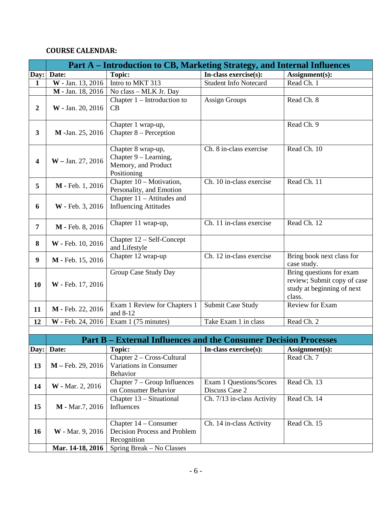# **COURSE CALENDAR:**

|                         | Part A – Introduction to CB, Marketing Strategy, and Internal Influences |                                                                                   |                                           |                                                                                                 |  |
|-------------------------|--------------------------------------------------------------------------|-----------------------------------------------------------------------------------|-------------------------------------------|-------------------------------------------------------------------------------------------------|--|
| Day:                    | Date:                                                                    | <b>Topic:</b>                                                                     | In-class exercise(s):                     | Assignment(s):                                                                                  |  |
| $\mathbf{1}$            | W - Jan. 13, 2016                                                        | Intro to MKT 313                                                                  | <b>Student Info Notecard</b>              | Read Ch. 1                                                                                      |  |
|                         | M - Jan. 18, 2016                                                        | No class - MLK Jr. Day                                                            |                                           |                                                                                                 |  |
| $\overline{2}$          | W - Jan. 20, 2016                                                        | Chapter $1$ – Introduction to<br>CB                                               | <b>Assign Groups</b>                      | Read Ch. 8                                                                                      |  |
| $\overline{\mathbf{3}}$ | M -Jan. 25, 2016                                                         | Chapter 1 wrap-up,<br>Chapter 8 – Perception                                      |                                           | Read Ch. 9                                                                                      |  |
| $\boldsymbol{4}$        | $W -$ Jan. 27, 2016                                                      | Chapter 8 wrap-up,<br>Chapter 9 – Learning,<br>Memory, and Product<br>Positioning | Ch. 8 in-class exercise                   | Read Ch. 10                                                                                     |  |
| 5                       | M - Feb. 1, 2016                                                         | Chapter 10 - Motivation,<br>Personality, and Emotion                              | Ch. 10 in-class exercise                  | Read Ch. 11                                                                                     |  |
| 6                       | W - Feb. 3, 2016                                                         | Chapter $11 -$ Attitudes and<br><b>Influencing Attitudes</b>                      |                                           |                                                                                                 |  |
| 7                       | M - Feb. 8, 2016                                                         | Chapter 11 wrap-up,                                                               | Ch. 11 in-class exercise                  | Read Ch. 12                                                                                     |  |
| 8                       | W - Feb. 10, 2016                                                        | Chapter 12 – Self-Concept<br>and Lifestyle                                        |                                           |                                                                                                 |  |
| 9                       | M - Feb. 15, 2016                                                        | Chapter 12 wrap-up                                                                | Ch. 12 in-class exercise                  | Bring book next class for<br>case study.                                                        |  |
| 10                      | W - Feb. 17, 2016                                                        | Group Case Study Day                                                              |                                           | Bring questions for exam<br>review; Submit copy of case<br>study at beginning of next<br>class. |  |
| 11                      | M - Feb. 22, 2016                                                        | Exam 1 Review for Chapters 1<br>and 8-12                                          | Submit Case Study                         | <b>Review for Exam</b>                                                                          |  |
| 12                      | W - Feb. 24, 2016                                                        | Exam 1 (75 minutes)                                                               | Take Exam 1 in class                      | Read Ch. 2                                                                                      |  |
|                         |                                                                          |                                                                                   |                                           |                                                                                                 |  |
|                         |                                                                          | <b>Part B – External Influences and the Consumer Decision Processes</b>           |                                           |                                                                                                 |  |
|                         | Day: Date:                                                               | <b>Topic:</b>                                                                     | In-class exercise(s):                     | Assignment(s):                                                                                  |  |
| 13                      | M - Feb. 29, 2016                                                        | Chapter 2 - Cross-Cultural<br>Variations in Consumer<br>Behavior                  |                                           | Read Ch. 7                                                                                      |  |
| 14                      | W - Mar. 2, 2016                                                         | Chapter 7 – Group Influences<br>on Consumer Behavior                              | Exam 1 Questions/Scores<br>Discuss Case 2 | Read Ch. 13                                                                                     |  |
| 15                      | M - Mar.7, 2016                                                          | Chapter 13 – Situational<br>Influences                                            | Ch. 7/13 in-class Activity                | Read Ch. 14                                                                                     |  |
| <b>16</b>               | W - Mar. 9, 2016                                                         | Chapter 14 – Consumer<br>Decision Process and Problem<br>Recognition              | Ch. 14 in-class Activity                  | Read Ch. 15                                                                                     |  |
|                         | Mar. 14-18, 2016                                                         | Spring Break – No Classes                                                         |                                           |                                                                                                 |  |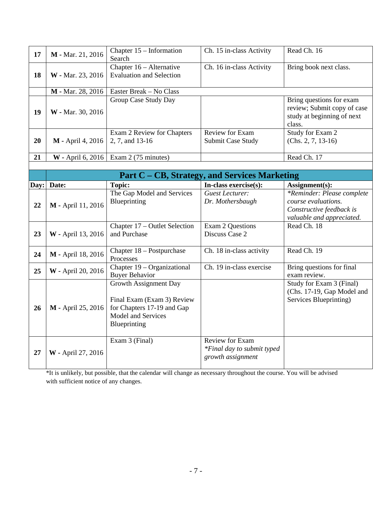| 17   | M - Mar. 21, 2016        | Chapter 15 – Information<br>Search                                                                                      | Ch. 15 in-class Activity                                           | Read Ch. 16                                                                                                |
|------|--------------------------|-------------------------------------------------------------------------------------------------------------------------|--------------------------------------------------------------------|------------------------------------------------------------------------------------------------------------|
| 18   | W - Mar. 23, 2016        | Chapter 16 – Alternative<br><b>Evaluation and Selection</b>                                                             | Ch. 16 in-class Activity                                           | Bring book next class.                                                                                     |
|      | M - Mar. 28, 2016        | Easter Break - No Class                                                                                                 |                                                                    |                                                                                                            |
| 19   | W - Mar. 30, 2016        | Group Case Study Day                                                                                                    |                                                                    | Bring questions for exam<br>review; Submit copy of case<br>study at beginning of next<br>class.            |
| 20   | M - April 4, 2016        | Exam 2 Review for Chapters<br>2, 7, and 13-16                                                                           | <b>Review for Exam</b><br>Submit Case Study                        | Study for Exam 2<br>$(Chs. 2, 7, 13-16)$                                                                   |
| 21   | <b>W</b> - April 6, 2016 | Exam 2 (75 minutes)                                                                                                     |                                                                    | Read Ch. 17                                                                                                |
|      |                          |                                                                                                                         |                                                                    |                                                                                                            |
|      |                          |                                                                                                                         | Part C – CB, Strategy, and Services Marketing                      |                                                                                                            |
| Day: | Date:                    | <b>Topic:</b>                                                                                                           | In-class exercise(s):                                              | Assignment(s):                                                                                             |
| 22   | M - April 11, 2016       | The Gap Model and Services<br>Blueprinting                                                                              | <b>Guest Lecturer:</b><br>Dr. Mothersbaugh                         | *Reminder: Please complete<br>course evaluations.<br>Constructive feedback is<br>valuable and appreciated. |
| 23   | W - April 13, 2016       | Chapter 17 – Outlet Selection<br>and Purchase                                                                           | <b>Exam 2 Questions</b><br>Discuss Case 2                          | Read Ch. 18                                                                                                |
| 24   | M - April 18, 2016       | Chapter 18 - Postpurchase<br>Processes                                                                                  | Ch. 18 in-class activity                                           | Read Ch. 19                                                                                                |
| 25   | W - April 20, 2016       | Chapter 19 – Organizational<br><b>Buyer Behavior</b>                                                                    | Ch. 19 in-class exercise                                           | Bring questions for final<br>exam review.                                                                  |
| 26   | M - April 25, 2016       | Growth Assignment Day<br>Final Exam (Exam 3) Review<br>for Chapters 17-19 and Gap<br>Model and Services<br>Blueprinting |                                                                    | Study for Exam 3 (Final)<br>(Chs. 17-19, Gap Model and<br>Services Blueprinting)                           |
| 27   | W - April 27, 2016       | Exam 3 (Final)                                                                                                          | Review for Exam<br>*Final day to submit typed<br>growth assignment |                                                                                                            |

\*It is unlikely, but possible, that the calendar will change as necessary throughout the course. You will be advised with sufficient notice of any changes.